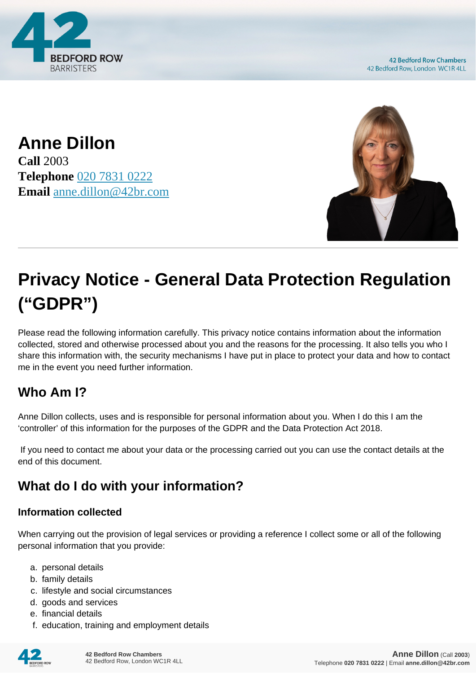

**42 Bedford Row Chambers** 42 Bedford Row, London WC1R 4LL

**Anne Dillon Call** 2003 **Telephone** [020 7831 0222](https://pdf.codeshore.co/_42br/tel:020 7831 0222) **Email** [anne.dillon@42br.com](mailto:anne.dillon@42br.com)



# **Privacy Notice - General Data Protection Regulation ("GDPR")**

Please read the following information carefully. This privacy notice contains information about the information collected, stored and otherwise processed about you and the reasons for the processing. It also tells you who I share this information with, the security mechanisms I have put in place to protect your data and how to contact me in the event you need further information.

# **Who Am I?**

Anne Dillon collects, uses and is responsible for personal information about you. When I do this I am the 'controller' of this information for the purposes of the GDPR and the Data Protection Act 2018.

 If you need to contact me about your data or the processing carried out you can use the contact details at the end of this document.

# **What do I do with your information?**

#### **Information collected**

When carrying out the provision of legal services or providing a reference I collect some or all of the following personal information that you provide:

- a. personal details
- b. family details
- c. lifestyle and social circumstances
- d. goods and services
- e. financial details
- f. education, training and employment details

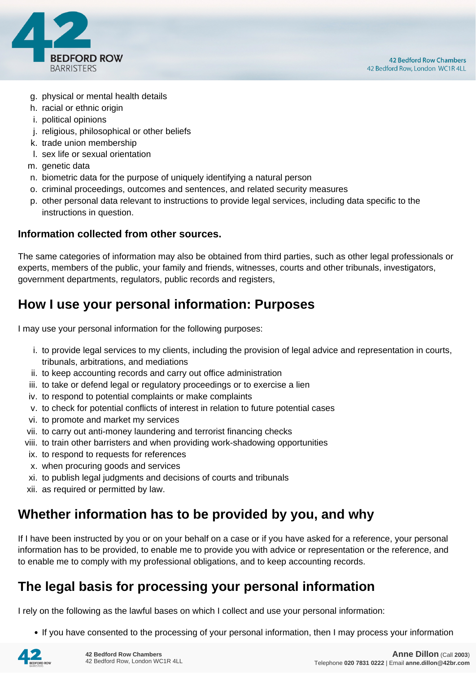

- g. physical or mental health details
- h. racial or ethnic origin
- i. political opinions
- j. religious, philosophical or other beliefs
- k. trade union membership
- l. sex life or sexual orientation
- m. genetic data
- n. biometric data for the purpose of uniquely identifying a natural person
- o. criminal proceedings, outcomes and sentences, and related security measures
- p. other personal data relevant to instructions to provide legal services, including data specific to the instructions in question.

#### **Information collected from other sources.**

The same categories of information may also be obtained from third parties, such as other legal professionals or experts, members of the public, your family and friends, witnesses, courts and other tribunals, investigators, government departments, regulators, public records and registers,

### **How I use your personal information: Purposes**

I may use your personal information for the following purposes:

- i. to provide legal services to my clients, including the provision of legal advice and representation in courts, tribunals, arbitrations, and mediations
- ii. to keep accounting records and carry out office administration
- iii. to take or defend legal or regulatory proceedings or to exercise a lien
- iv. to respond to potential complaints or make complaints
- v. to check for potential conflicts of interest in relation to future potential cases
- vi. to promote and market my services
- vii. to carry out anti-money laundering and terrorist financing checks
- viii. to train other barristers and when providing work-shadowing opportunities
- ix. to respond to requests for references
- x. when procuring goods and services
- xi. to publish legal judgments and decisions of courts and tribunals
- xii. as required or permitted by law.

### **Whether information has to be provided by you, and why**

If I have been instructed by you or on your behalf on a case or if you have asked for a reference, your personal information has to be provided, to enable me to provide you with advice or representation or the reference, and to enable me to comply with my professional obligations, and to keep accounting records.

### **The legal basis for processing your personal information**

I rely on the following as the lawful bases on which I collect and use your personal information:

• If you have consented to the processing of your personal information, then I may process your information

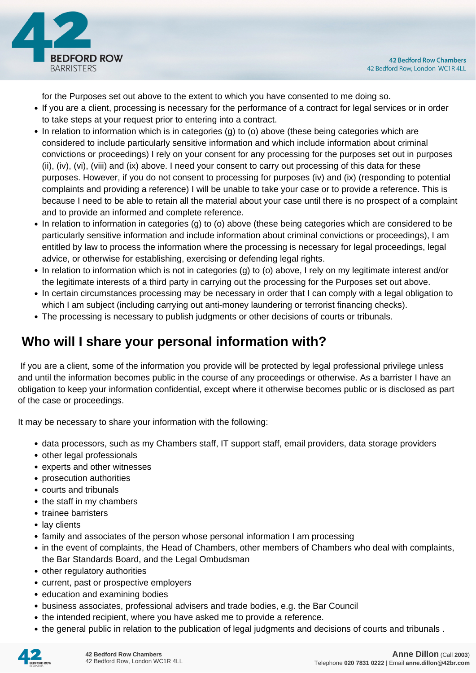

for the Purposes set out above to the extent to which you have consented to me doing so.

- If you are a client, processing is necessary for the performance of a contract for legal services or in order to take steps at your request prior to entering into a contract.
- In relation to information which is in categories (g) to (o) above (these being categories which are considered to include particularly sensitive information and which include information about criminal convictions or proceedings) I rely on your consent for any processing for the purposes set out in purposes (ii), (iv), (vi), (viii) and (ix) above. I need your consent to carry out processing of this data for these purposes. However, if you do not consent to processing for purposes (iv) and (ix) (responding to potential complaints and providing a reference) I will be unable to take your case or to provide a reference. This is because I need to be able to retain all the material about your case until there is no prospect of a complaint and to provide an informed and complete reference.
- In relation to information in categories (g) to (o) above (these being categories which are considered to be particularly sensitive information and include information about criminal convictions or proceedings), I am entitled by law to process the information where the processing is necessary for legal proceedings, legal advice, or otherwise for establishing, exercising or defending legal rights.
- In relation to information which is not in categories (g) to (o) above, I rely on my legitimate interest and/or the legitimate interests of a third party in carrying out the processing for the Purposes set out above.
- In certain circumstances processing may be necessary in order that I can comply with a legal obligation to which I am subject (including carrying out anti-money laundering or terrorist financing checks).
- The processing is necessary to publish judgments or other decisions of courts or tribunals.

# **Who will I share your personal information with?**

 If you are a client, some of the information you provide will be protected by legal professional privilege unless and until the information becomes public in the course of any proceedings or otherwise. As a barrister I have an obligation to keep your information confidential, except where it otherwise becomes public or is disclosed as part of the case or proceedings.

It may be necessary to share your information with the following:

- data processors, such as my Chambers staff, IT support staff, email providers, data storage providers
- other legal professionals
- experts and other witnesses
- prosecution authorities
- courts and tribunals
- the staff in my chambers
- trainee barristers
- lay clients
- family and associates of the person whose personal information I am processing
- in the event of complaints, the Head of Chambers, other members of Chambers who deal with complaints, the Bar Standards Board, and the Legal Ombudsman
- other regulatory authorities
- current, past or prospective employers
- education and examining bodies
- business associates, professional advisers and trade bodies, e.g. the Bar Council
- the intended recipient, where you have asked me to provide a reference.
- the general public in relation to the publication of legal judgments and decisions of courts and tribunals .

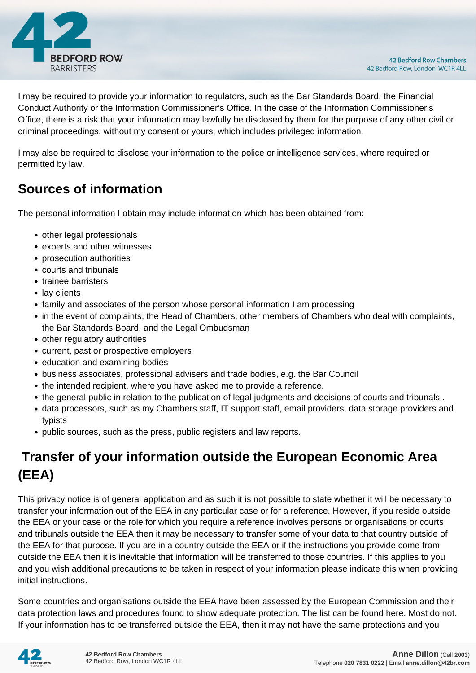

I may be required to provide your information to regulators, such as the Bar Standards Board, the Financial Conduct Authority or the Information Commissioner's Office. In the case of the Information Commissioner's Office, there is a risk that your information may lawfully be disclosed by them for the purpose of any other civil or criminal proceedings, without my consent or yours, which includes privileged information.

I may also be required to disclose your information to the police or intelligence services, where required or permitted by law.

# **Sources of information**

The personal information I obtain may include information which has been obtained from:

- other legal professionals
- experts and other witnesses
- prosecution authorities
- courts and tribunals
- trainee barristers
- lay clients
- family and associates of the person whose personal information I am processing
- in the event of complaints, the Head of Chambers, other members of Chambers who deal with complaints, the Bar Standards Board, and the Legal Ombudsman
- other regulatory authorities
- current, past or prospective employers
- education and examining bodies
- business associates, professional advisers and trade bodies, e.g. the Bar Council
- the intended recipient, where you have asked me to provide a reference.
- the general public in relation to the publication of legal judgments and decisions of courts and tribunals .
- data processors, such as my Chambers staff, IT support staff, email providers, data storage providers and typists
- public sources, such as the press, public registers and law reports.

# **Transfer of your information outside the European Economic Area (EEA)**

This privacy notice is of general application and as such it is not possible to state whether it will be necessary to transfer your information out of the EEA in any particular case or for a reference. However, if you reside outside the EEA or your case or the role for which you require a reference involves persons or organisations or courts and tribunals outside the EEA then it may be necessary to transfer some of your data to that country outside of the EEA for that purpose. If you are in a country outside the EEA or if the instructions you provide come from outside the EEA then it is inevitable that information will be transferred to those countries. If this applies to you and you wish additional precautions to be taken in respect of your information please indicate this when providing initial instructions.

Some countries and organisations outside the EEA have been assessed by the European Commission and their data protection laws and procedures found to show adequate protection. The list can be found here. Most do not. If your information has to be transferred outside the EEA, then it may not have the same protections and you

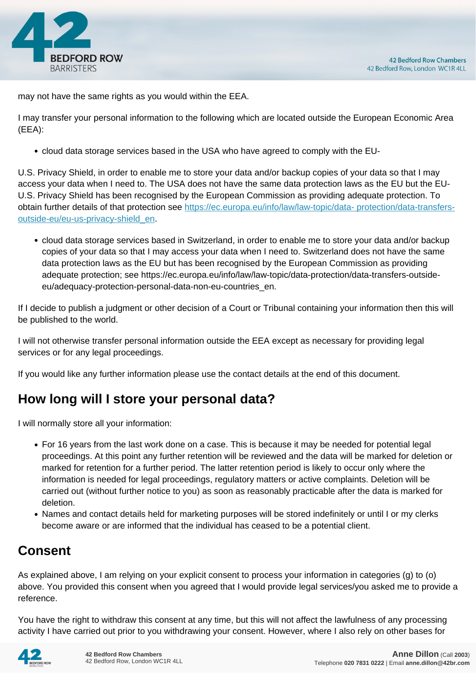

may not have the same rights as you would within the EEA.

I may transfer your personal information to the following which are located outside the European Economic Area (EEA):

cloud data storage services based in the USA who have agreed to comply with the EU-

U.S. Privacy Shield, in order to enable me to store your data and/or backup copies of your data so that I may access your data when I need to. The USA does not have the same data protection laws as the EU but the EU-U.S. Privacy Shield has been recognised by the European Commission as providing adequate protection. To obtain further details of that protection see [https://ec.europa.eu/info/law/law-topic/data- protection/data-transfers](https://ec.europa.eu/info/law/law-topic/data- protection/data-transfers-outside-eu/eu-us-privacy-shield_en)[outside-eu/eu-us-privacy-shield\\_en.](https://ec.europa.eu/info/law/law-topic/data- protection/data-transfers-outside-eu/eu-us-privacy-shield_en)

cloud data storage services based in Switzerland, in order to enable me to store your data and/or backup copies of your data so that I may access your data when I need to. Switzerland does not have the same data protection laws as the EU but has been recognised by the European Commission as providing adequate protection; see https://ec.europa.eu/info/law/law-topic/data-protection/data-transfers-outsideeu/adequacy-protection-personal-data-non-eu-countries\_en.

If I decide to publish a judgment or other decision of a Court or Tribunal containing your information then this will be published to the world.

I will not otherwise transfer personal information outside the EEA except as necessary for providing legal services or for any legal proceedings.

If you would like any further information please use the contact details at the end of this document.

# **How long will I store your personal data?**

I will normally store all your information:

- For 16 years from the last work done on a case. This is because it may be needed for potential legal proceedings. At this point any further retention will be reviewed and the data will be marked for deletion or marked for retention for a further period. The latter retention period is likely to occur only where the information is needed for legal proceedings, regulatory matters or active complaints. Deletion will be carried out (without further notice to you) as soon as reasonably practicable after the data is marked for deletion.
- Names and contact details held for marketing purposes will be stored indefinitely or until I or my clerks become aware or are informed that the individual has ceased to be a potential client.

# **Consent**

As explained above, I am relying on your explicit consent to process your information in categories (g) to (o) above. You provided this consent when you agreed that I would provide legal services/you asked me to provide a reference.

You have the right to withdraw this consent at any time, but this will not affect the lawfulness of any processing activity I have carried out prior to you withdrawing your consent. However, where I also rely on other bases for

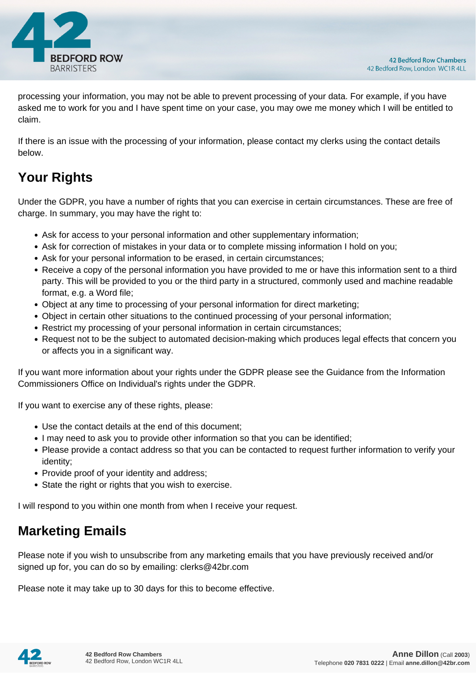

processing your information, you may not be able to prevent processing of your data. For example, if you have asked me to work for you and I have spent time on your case, you may owe me money which I will be entitled to claim.

If there is an issue with the processing of your information, please contact my clerks using the contact details below.

# **Your Rights**

Under the GDPR, you have a number of rights that you can exercise in certain circumstances. These are free of charge. In summary, you may have the right to:

- Ask for access to your personal information and other supplementary information;
- Ask for correction of mistakes in your data or to complete missing information I hold on you;
- Ask for your personal information to be erased, in certain circumstances;
- Receive a copy of the personal information you have provided to me or have this information sent to a third party. This will be provided to you or the third party in a structured, commonly used and machine readable format, e.g. a Word file;
- Object at any time to processing of your personal information for direct marketing;
- Object in certain other situations to the continued processing of your personal information;
- Restrict my processing of your personal information in certain circumstances;
- Request not to be the subject to automated decision-making which produces legal effects that concern you or affects you in a significant way.

If you want more information about your rights under the GDPR please see the Guidance from the Information Commissioners Office on Individual's rights under the GDPR.

If you want to exercise any of these rights, please:

- Use the contact details at the end of this document;
- I may need to ask you to provide other information so that you can be identified;
- Please provide a contact address so that you can be contacted to request further information to verify your identity;
- Provide proof of your identity and address;
- State the right or rights that you wish to exercise.

I will respond to you within one month from when I receive your request.

### **Marketing Emails**

Please note if you wish to unsubscribe from any marketing emails that you have previously received and/or signed up for, you can do so by emailing: clerks@42br.com

Please note it may take up to 30 days for this to become effective.